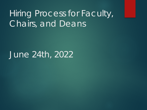## Hiring Process for Faculty, Chairs, and Deans

### June 24th, 2022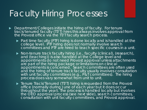### Faculty Hiring Processes

- **Department/Colleges initiate the hiring of faculty. For tenure** track/tenured faculty (TT/T) hires this always involves approval from the Provost office via the TT/T faculty search process.
	- Part time faculty (PTF) hiring is done locally and is handled at the college level. PTF hiring does not normally involve search committees and PTF are hired to teach specific courses in a unit.
	- Non-tenure track faculty hiring (i.e., faculty (clinical), (research), and (teaching)) is also handled at the College level and appointments do not need Provost approval unless attachments are part of the hiring package or limitations on clinical appointments is concerned. Search committees are often used and the hiring of tenure track faculty usually involves consultation with unit faculty committees (e.g., P&T committees). The hiring process does vary somewhat from unit to unit.
	- Tenure Track/Tenured (TT/T) hiring is requested from the Provost office (normally during June of each year but it does occur throughout the year). The process is handled locally but involves the OEO approval process (see next slide), search committees, consultation with unit faculty committees, and Provost approval.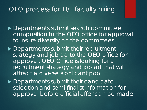#### OEO process for TT/T faculty hiring

- ▶ Departments submit search committee composition to the OEO office for approval to insure diversity on the committees
- ▶ Departments submit their recruitment strategy and job ad to the OEO office for approval. OEO Office is looking for a recruitment strategy and job ad that will attract a diverse applicant pool
- **Departments submit their candidate** selection and semi-finalist information for approval before official offer can be made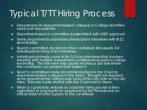# Typical T/TT Hiring Process

- **Department (in departmentalized colleges) or College identifies** need and requests hire
- ▶ Department search committee is assembled with OEO approval
- Some departments undertake phone/zoom interviews with 8-12 semi-finalists.
- ▶ Search committee decides on final candidate list (usually 3-4 individuals) to bring in for interviews
- $\blacktriangleright$  Individuals normally come in for 1-2 day interviews that involves meeting with multiple department constituents as well as college leadership. The interview also usually involves a job talk where the candidate can present their research
- Search committees make recommendations to the Chair (in departmentalized colleges) or the Dean. Thought not required, some departments/colleges also have all faculty vote on faculty hires. This vote is also shared with the Chair and/or Dean.
- When a candidate verbally accepts the hiring packet is then assembled to eventually be approved by the Provost and an official letter of offer is given to the candidate.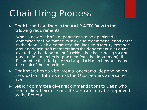### Chair Hiring Process

▶ Chair hiring is outlined in the AAUP-AFT CBA with the following requirements

*When a new chair of a department is to be appointed, a committee shall be formed to seek and recommend candidates to the dean. Such a committee shall include N faculty members and academic-staff members from the department in question elected by the department for which the chair is being sought (one student member is appointed from the department). The President or their designee shall appoint N members and name the chair of the committee.*

- ► Chair searches can be internal or external depending on the situation. If it is external, the OEO process will also be used.
- ► Search committee gives recommendations to Dean who then makes their decision. This decision must be approved by the Provost.